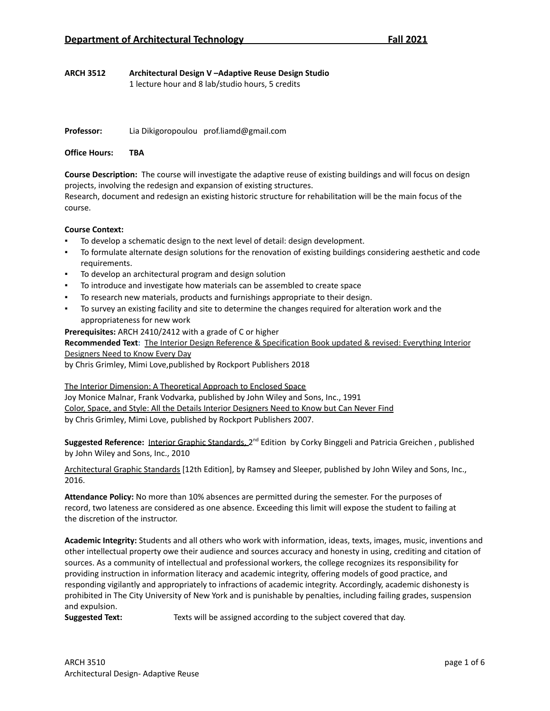1 lecture hour and 8 lab/studio hours, 5 credits

**Professor:** Lia Dikigoropoulou prof.liamd@gmail.com

**Office Hours: TBA**

**Course Description:** The course will investigate the adaptive reuse of existing buildings and will focus on design projects, involving the redesign and expansion of existing structures.

Research, document and redesign an existing historic structure for rehabilitation will be the main focus of the course.

## **Course Context:**

- To develop a schematic design to the next level of detail: design development.
- To formulate alternate design solutions for the renovation of existing buildings considering aesthetic and code requirements.
- To develop an architectural program and design solution
- To introduce and investigate how materials can be assembled to create space
- To research new materials, products and furnishings appropriate to their design.
- To survey an existing facility and site to determine the changes required for alteration work and the appropriateness for new work

## **Prerequisites:** ARCH 2410/2412 with a grade of C or higher

**Recommended Text:** The Interior Design Reference & Specification Book updated & revised: Everything Interior Designers Need to Know Every Day

by Chris [Grimley](https://www.goodreads.com/author/show/5735460.Chris_Grimley), [Mimi](https://www.goodreads.com/author/show/933754.Mimi_Love) Love,published by Rockport Publishers 2018

The Interior Dimension: A Theoretical Approach to Enclosed Space

Joy [Monice](http://www.wiley.com/WileyCDA/Section/id-302475.html?query=Joy+Monice+Malnar) Malnar, Frank [Vodvarka](http://www.wiley.com/WileyCDA/Section/id-302475.html?query=Frank+Vodvarka), published by John Wiley and Sons, Inc., 1991 Color, Space, and Style: All the Details Interior Designers Need to Know but Can Never Find by Chris [Grimley](https://www.goodreads.com/author/show/5735460.Chris_Grimley), [Mimi](https://www.goodreads.com/author/show/933754.Mimi_Love) Love, published by Rockport Publishers 2007.

Suggested Reference: Interior Graphic Standards, 2<sup>nd</sup> Edition by Corky [Binggeli](http://www.wiley.com/WileyCDA/Section/id-302475.html?query=Corky+Binggeli) and Patricia [Greichen](http://www.wiley.com/WileyCDA/Section/id-302475.html?query=Patricia+Greichen), published by John Wiley and Sons, Inc., 2010

Architectural Graphic Standards [12th Edition], by Ramsey and Sleeper, published by John Wiley and Sons, Inc., 2016.

**Attendance Policy:** No more than 10% absences are permitted during the semester. For the purposes of record, two lateness are considered as one absence. Exceeding this limit will expose the student to failing at the discretion of the instructor.

**Academic Integrity:** Students and all others who work with information, ideas, texts, images, music, inventions and other intellectual property owe their audience and sources accuracy and honesty in using, crediting and citation of sources. As a community of intellectual and professional workers, the college recognizes its responsibility for providing instruction in information literacy and academic integrity, offering models of good practice, and responding vigilantly and appropriately to infractions of academic integrity. Accordingly, academic dishonesty is prohibited in The City University of New York and is punishable by penalties, including failing grades, suspension and expulsion.

**Suggested Text:** Texts will be assigned according to the subject covered that day.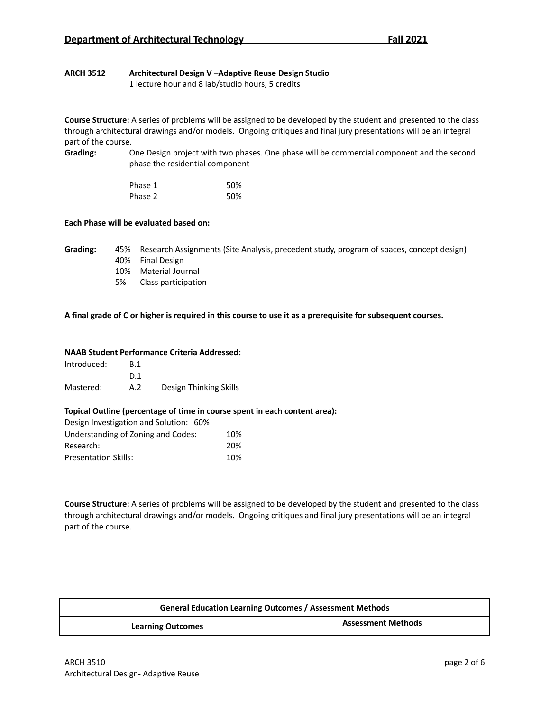1 lecture hour and 8 lab/studio hours, 5 credits

**Course Structure:** A series of problems will be assigned to be developed by the student and presented to the class through architectural drawings and/or models. Ongoing critiques and final jury presentations will be an integral part of the course.

**Grading:** One Design project with two phases. One phase will be commercial component and the second phase the residential component

| Phase 1 | 50% |
|---------|-----|
| Phase 2 | 50% |

## **Each Phase will be evaluated based on:**

**Grading:** 45% Research Assignments (Site Analysis, precedent study, program of spaces, concept design) 40% Final Design

- 10% Material Journal
- 5% Class participation

## A final grade of C or higher is required in this course to use it as a prerequisite for subsequent courses.

## **NAAB Student Performance Criteria Addressed:**

| Introduced: | <b>B.1</b> |                        |
|-------------|------------|------------------------|
|             | D 1        |                        |
| Mastered:   | A.2        | Design Thinking Skills |

## **Topical Outline (percentage of time in course spent in each content area):**

| Design Investigation and Solution: 60% |     |
|----------------------------------------|-----|
| Understanding of Zoning and Codes:     | 10% |
| Research:                              | 20% |
| <b>Presentation Skills:</b>            | 10% |

**Course Structure:** A series of problems will be assigned to be developed by the student and presented to the class through architectural drawings and/or models. Ongoing critiques and final jury presentations will be an integral part of the course.

| <b>General Education Learning Outcomes / Assessment Methods</b> |                           |
|-----------------------------------------------------------------|---------------------------|
| <b>Learning Outcomes</b>                                        | <b>Assessment Methods</b> |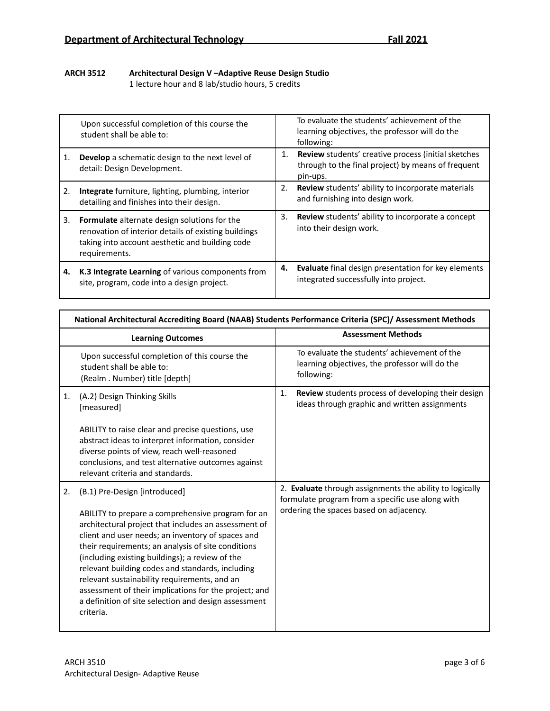1 lecture hour and 8 lab/studio hours, 5 credits

|    | Upon successful completion of this course the<br>student shall be able to:                                                                                                      |    | To evaluate the students' achievement of the<br>learning objectives, the professor will do the<br>following:          |
|----|---------------------------------------------------------------------------------------------------------------------------------------------------------------------------------|----|-----------------------------------------------------------------------------------------------------------------------|
| 1. | <b>Develop</b> a schematic design to the next level of<br>detail: Design Development.                                                                                           | 1. | Review students' creative process (initial sketches<br>through to the final project) by means of frequent<br>pin-ups. |
| 2. | <b>Integrate</b> furniture, lighting, plumbing, interior<br>detailing and finishes into their design.                                                                           | 2. | Review students' ability to incorporate materials<br>and furnishing into design work.                                 |
| 3. | <b>Formulate</b> alternate design solutions for the<br>renovation of interior details of existing buildings<br>taking into account aesthetic and building code<br>requirements. | 3. | <b>Review</b> students' ability to incorporate a concept<br>into their design work.                                   |
| 4. | K.3 Integrate Learning of various components from<br>site, program, code into a design project.                                                                                 | 4. | Evaluate final design presentation for key elements<br>integrated successfully into project.                          |

|    | National Architectural Accrediting Board (NAAB) Students Performance Criteria (SPC)/ Assessment Methods                                                                                                                                                                                                                                                                                                                                                                                                                                    |                                                                                                                                                         |
|----|--------------------------------------------------------------------------------------------------------------------------------------------------------------------------------------------------------------------------------------------------------------------------------------------------------------------------------------------------------------------------------------------------------------------------------------------------------------------------------------------------------------------------------------------|---------------------------------------------------------------------------------------------------------------------------------------------------------|
|    | <b>Learning Outcomes</b>                                                                                                                                                                                                                                                                                                                                                                                                                                                                                                                   | <b>Assessment Methods</b>                                                                                                                               |
|    | Upon successful completion of this course the<br>student shall be able to:<br>(Realm. Number) title [depth]                                                                                                                                                                                                                                                                                                                                                                                                                                | To evaluate the students' achievement of the<br>learning objectives, the professor will do the<br>following:                                            |
| 1. | (A.2) Design Thinking Skills<br>[measured]                                                                                                                                                                                                                                                                                                                                                                                                                                                                                                 | <b>Review</b> students process of developing their design<br>1.<br>ideas through graphic and written assignments                                        |
|    | ABILITY to raise clear and precise questions, use<br>abstract ideas to interpret information, consider<br>diverse points of view, reach well-reasoned<br>conclusions, and test alternative outcomes against<br>relevant criteria and standards.                                                                                                                                                                                                                                                                                            |                                                                                                                                                         |
| 2. | (B.1) Pre-Design [introduced]<br>ABILITY to prepare a comprehensive program for an<br>architectural project that includes an assessment of<br>client and user needs; an inventory of spaces and<br>their requirements; an analysis of site conditions<br>(including existing buildings); a review of the<br>relevant building codes and standards, including<br>relevant sustainability requirements, and an<br>assessment of their implications for the project; and<br>a definition of site selection and design assessment<br>criteria. | 2. Evaluate through assignments the ability to logically<br>formulate program from a specific use along with<br>ordering the spaces based on adjacency. |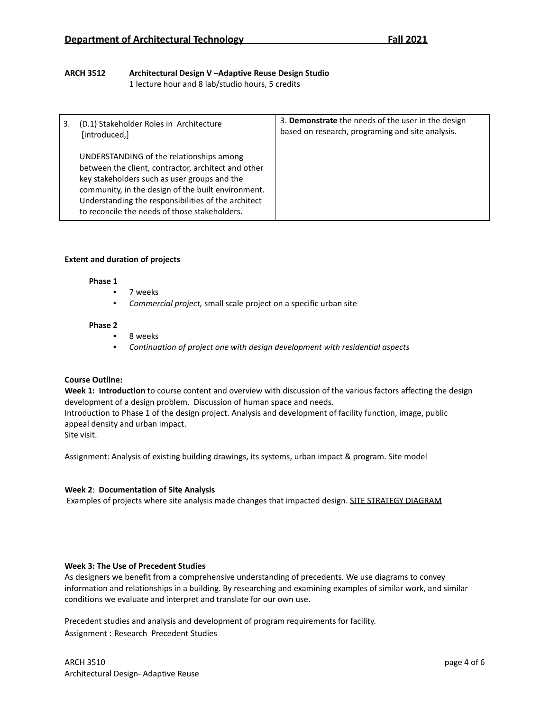1 lecture hour and 8 lab/studio hours, 5 credits

| (D.1) Stakeholder Roles in Architecture<br>[introduced,]                                                                                                                                                                                                                                                      | 3. Demonstrate the needs of the user in the design<br>based on research, programing and site analysis. |
|---------------------------------------------------------------------------------------------------------------------------------------------------------------------------------------------------------------------------------------------------------------------------------------------------------------|--------------------------------------------------------------------------------------------------------|
| UNDERSTANDING of the relationships among<br>between the client, contractor, architect and other<br>key stakeholders such as user groups and the<br>community, in the design of the built environment.<br>Understanding the responsibilities of the architect<br>to reconcile the needs of those stakeholders. |                                                                                                        |

## **Extent and duration of projects**

## **Phase 1**

- 7 weeks
- *Commercial project,* small scale project on a specific urban site

## **Phase 2**

- 8 weeks
- *Continuation of project one with design development with residential aspects*

## **Course Outline:**

**Week 1: Introduction** to course content and overview with discussion of the various factors affecting the design development of a design problem. Discussion of human space and needs.

Introduction to Phase 1 of the design project. Analysis and development of facility function, image, public appeal density and urban impact.

Site visit.

Assignment: Analysis of existing building drawings, its systems, urban impact & program. Site model

## **Week 2**: **Documentation of Site Analysis**

Examples of projects where site analysis made changes that impacted design. SITE STRATEGY DIAGRAM

## **Week 3: The Use of Precedent Studies**

As designers we benefit from a comprehensive understanding of precedents. We use diagrams to convey information and relationships in a building. By researching and examining examples of similar work, and similar conditions we evaluate and interpret and translate for our own use.

Precedent studies and analysis and development of program requirements for facility. Assignment : Research Precedent Studies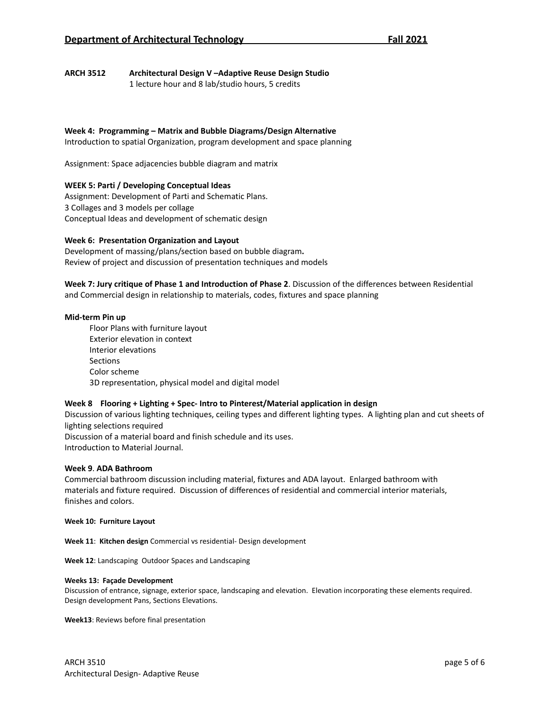1 lecture hour and 8 lab/studio hours, 5 credits

## **Week 4: Programming – Matrix and Bubble Diagrams/Design Alternative**

Introduction to spatial Organization, program development and space planning

Assignment: Space adjacencies bubble diagram and matrix

## **WEEK 5: Parti / Developing Conceptual Ideas**

Assignment: Development of Parti and Schematic Plans. 3 Collages and 3 models per collage Conceptual Ideas and development of schematic design

## **Week 6: Presentation Organization and Layout**

Development of massing/plans/section based on bubble diagram**.** Review of project and discussion of presentation techniques and models

**Week 7: Jury critique of Phase 1 and Introduction of Phase 2**. Discussion of the differences between Residential and Commercial design in relationship to materials, codes, fixtures and space planning

#### **Mid-term Pin up**

Floor Plans with furniture layout Exterior elevation in context Interior elevations Sections Color scheme 3D representation, physical model and digital model

## **Week 8 Flooring + Lighting + Spec- Intro to Pinterest/Material application in design**

Discussion of various lighting techniques, ceiling types and different lighting types. A lighting plan and cut sheets of lighting selections required

Discussion of a material board and finish schedule and its uses. Introduction to Material Journal.

## **Week 9**. **ADA Bathroom**

Commercial bathroom discussion including material, fixtures and ADA layout. Enlarged bathroom with materials and fixture required. Discussion of differences of residential and commercial interior materials, finishes and colors.

#### **Week 10: Furniture Layout**

**Week 11**: **Kitchen design** Commercial vs residential- Design development

**Week 12**: Landscaping Outdoor Spaces and Landscaping

#### **Weeks 13: Façade Development**

Discussion of entrance, signage, exterior space, landscaping and elevation. Elevation incorporating these elements required. Design development Pans, Sections Elevations.

**Week13**: Reviews before final presentation